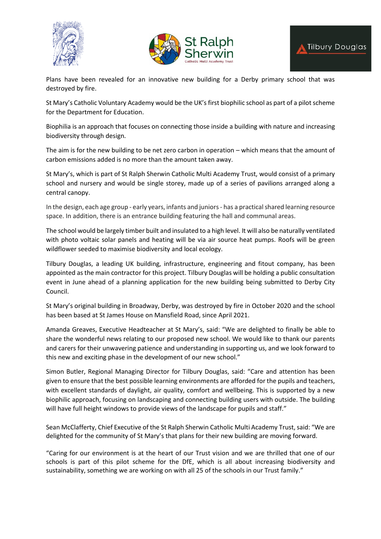





Plans have been revealed for an innovative new building for a Derby primary school that was destroyed by fire.

St Mary's Catholic Voluntary Academy would be the UK's first biophilic school as part of a pilot scheme for the Department for Education.

Biophilia is an approach that focuses on connecting those inside a building with nature and increasing biodiversity through design.

The aim is for the new building to be net zero carbon in operation – which means that the amount of carbon emissions added is no more than the amount taken away.

St Mary's, which is part of St Ralph Sherwin Catholic Multi Academy Trust, would consist of a primary school and nursery and would be single storey, made up of a series of pavilions arranged along a central canopy.

In the design, each age group - early years, infants and juniors- has a practical shared learning resource space. In addition, there is an entrance building featuring the hall and communal areas.

The school would be largely timber built and insulated to a high level. It will also be naturally ventilated with photo voltaic solar panels and heating will be via air source heat pumps. Roofs will be green wildflower seeded to maximise biodiversity and local ecology.

Tilbury Douglas, a leading UK building, infrastructure, engineering and fitout company, has been appointed as the main contractor for this project. Tilbury Douglas will be holding a public consultation event in June ahead of a planning application for the new building being submitted to Derby City Council.

St Mary's original building in Broadway, Derby, was destroyed by fire in October 2020 and the school has been based at St James House on Mansfield Road, since April 2021.

Amanda Greaves, Executive Headteacher at St Mary's, said: "We are delighted to finally be able to share the wonderful news relating to our proposed new school. We would like to thank our parents and carers for their unwavering patience and understanding in supporting us, and we look forward to this new and exciting phase in the development of our new school."

Simon Butler, Regional Managing Director for Tilbury Douglas, said: "Care and attention has been given to ensure that the best possible learning environments are afforded for the pupils and teachers, with excellent standards of daylight, air quality, comfort and wellbeing. This is supported by a new biophilic approach, focusing on landscaping and connecting building users with outside. The building will have full height windows to provide views of the landscape for pupils and staff."

Sean McClafferty, Chief Executive of the St Ralph Sherwin Catholic Multi Academy Trust, said: "We are delighted for the community of St Mary's that plans for their new building are moving forward.

"Caring for our environment is at the heart of our Trust vision and we are thrilled that one of our schools is part of this pilot scheme for the DfE, which is all about increasing biodiversity and sustainability, something we are working on with all 25 of the schools in our Trust family."